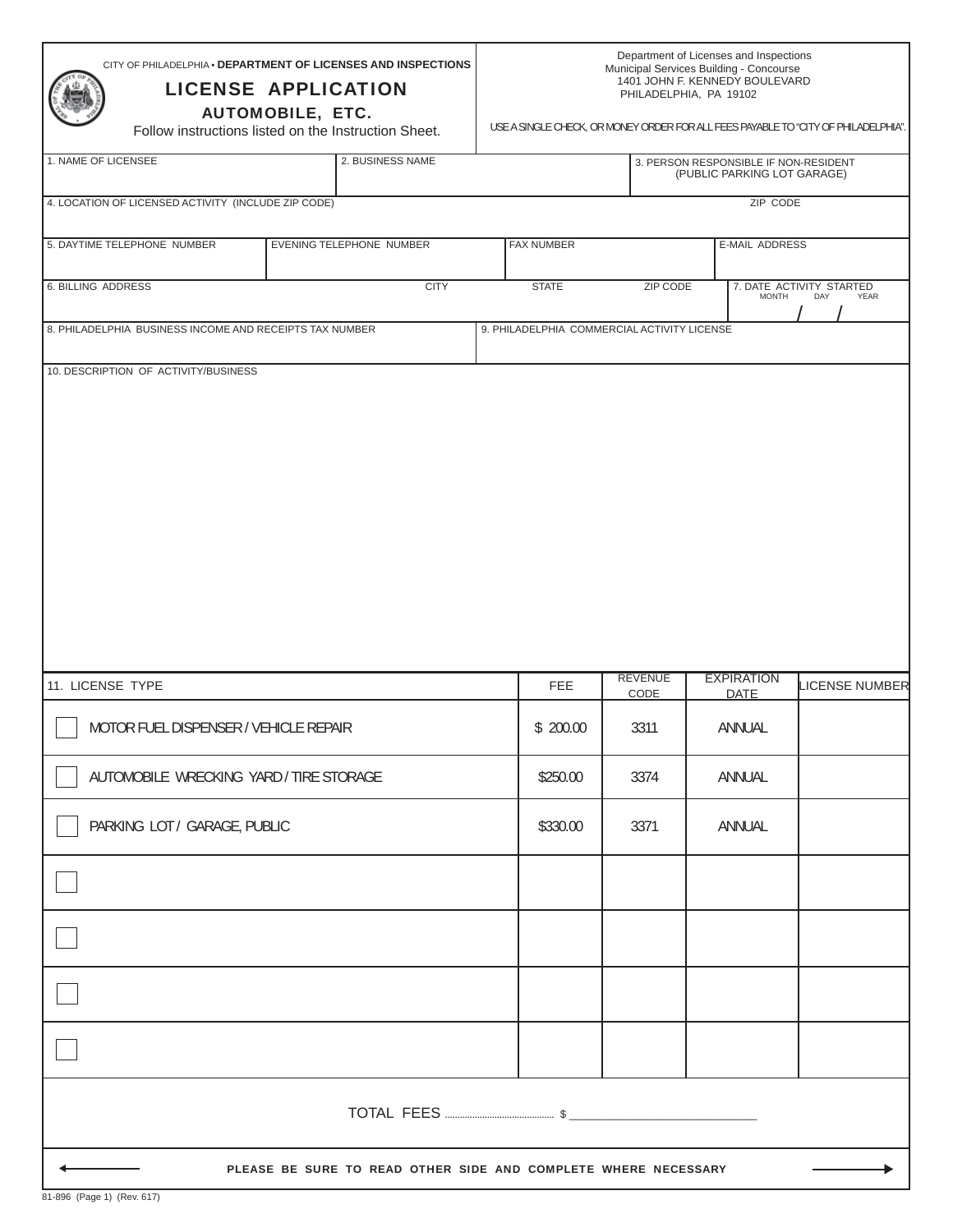| CITY OF PHILADELPHIA . DEPARTMENT OF LICENSES AND INSPECTIONS<br><b>LICENSE APPLICATION</b><br><b>AUTOMOBILE, ETC.</b><br>Follow instructions listed on the Instruction Sheet. | Department of Licenses and Inspections<br>Municipal Services Building - Concourse<br>1401 JOHN F. KENNEDY BOULEVARD<br>PHILADELPHIA, PA 19102<br>USE A SINGLE CHECK, OR MONEY ORDER FOR ALL FEES PAYABLE TO "CITY OF PHILADELPHIA". |                                             |                        |                                  |                                                                      |  |
|--------------------------------------------------------------------------------------------------------------------------------------------------------------------------------|-------------------------------------------------------------------------------------------------------------------------------------------------------------------------------------------------------------------------------------|---------------------------------------------|------------------------|----------------------------------|----------------------------------------------------------------------|--|
| 1. NAME OF LICENSEE                                                                                                                                                            | 2. BUSINESS NAME                                                                                                                                                                                                                    |                                             |                        |                                  | 3. PERSON RESPONSIBLE IF NON-RESIDENT<br>(PUBLIC PARKING LOT GARAGE) |  |
| 4. LOCATION OF LICENSED ACTIVITY (INCLUDE ZIP CODE)                                                                                                                            |                                                                                                                                                                                                                                     |                                             |                        | ZIP CODE                         |                                                                      |  |
| 5. DAYTIME TELEPHONE NUMBER                                                                                                                                                    | EVENING TELEPHONE NUMBER                                                                                                                                                                                                            | <b>FAX NUMBER</b>                           |                        | E-MAIL ADDRESS                   |                                                                      |  |
| <b>6. BILLING ADDRESS</b>                                                                                                                                                      | <b>CITY</b>                                                                                                                                                                                                                         | <b>STATE</b>                                | <b>ZIP CODE</b>        | <b>MONTH</b>                     | 7. DATE ACTIVITY STARTED<br>DAY<br>YEAR                              |  |
| 8. PHILADELPHIA BUSINESS INCOME AND RECEIPTS TAX NUMBER                                                                                                                        |                                                                                                                                                                                                                                     | 9. PHILADELPHIA COMMERCIAL ACTIVITY LICENSE |                        |                                  |                                                                      |  |
| 10. DESCRIPTION OF ACTIVITY/BUSINESS                                                                                                                                           |                                                                                                                                                                                                                                     |                                             |                        |                                  |                                                                      |  |
| 11. LICENSE TYPE                                                                                                                                                               |                                                                                                                                                                                                                                     | <b>FEE</b>                                  | <b>REVENUE</b><br>CODE | <b>EXPIRATION</b><br><b>DATE</b> | LICENSE NUMBER                                                       |  |
| MOTOR FUEL DISPENSER / VEHICLE REPAIR                                                                                                                                          |                                                                                                                                                                                                                                     | \$200.00                                    | 3311                   | ANNUAL                           |                                                                      |  |
| AUTOMOBILE WRECKING YARD / TIRE STORAGE                                                                                                                                        |                                                                                                                                                                                                                                     | \$250.00                                    | 3374                   | ANNUAL                           |                                                                      |  |
| PARKING LOT / GARAGE, PUBLIC                                                                                                                                                   |                                                                                                                                                                                                                                     | \$330.00                                    | 3371                   | ANNUAL                           |                                                                      |  |
|                                                                                                                                                                                |                                                                                                                                                                                                                                     |                                             |                        |                                  |                                                                      |  |
|                                                                                                                                                                                |                                                                                                                                                                                                                                     |                                             |                        |                                  |                                                                      |  |
|                                                                                                                                                                                |                                                                                                                                                                                                                                     |                                             |                        |                                  |                                                                      |  |
|                                                                                                                                                                                |                                                                                                                                                                                                                                     |                                             |                        |                                  |                                                                      |  |
|                                                                                                                                                                                |                                                                                                                                                                                                                                     |                                             |                        |                                  |                                                                      |  |
| PLEASE BE SURE TO READ OTHER SIDE AND COMPLETE WHERE NECESSARY                                                                                                                 |                                                                                                                                                                                                                                     |                                             |                        |                                  |                                                                      |  |

٦

ľ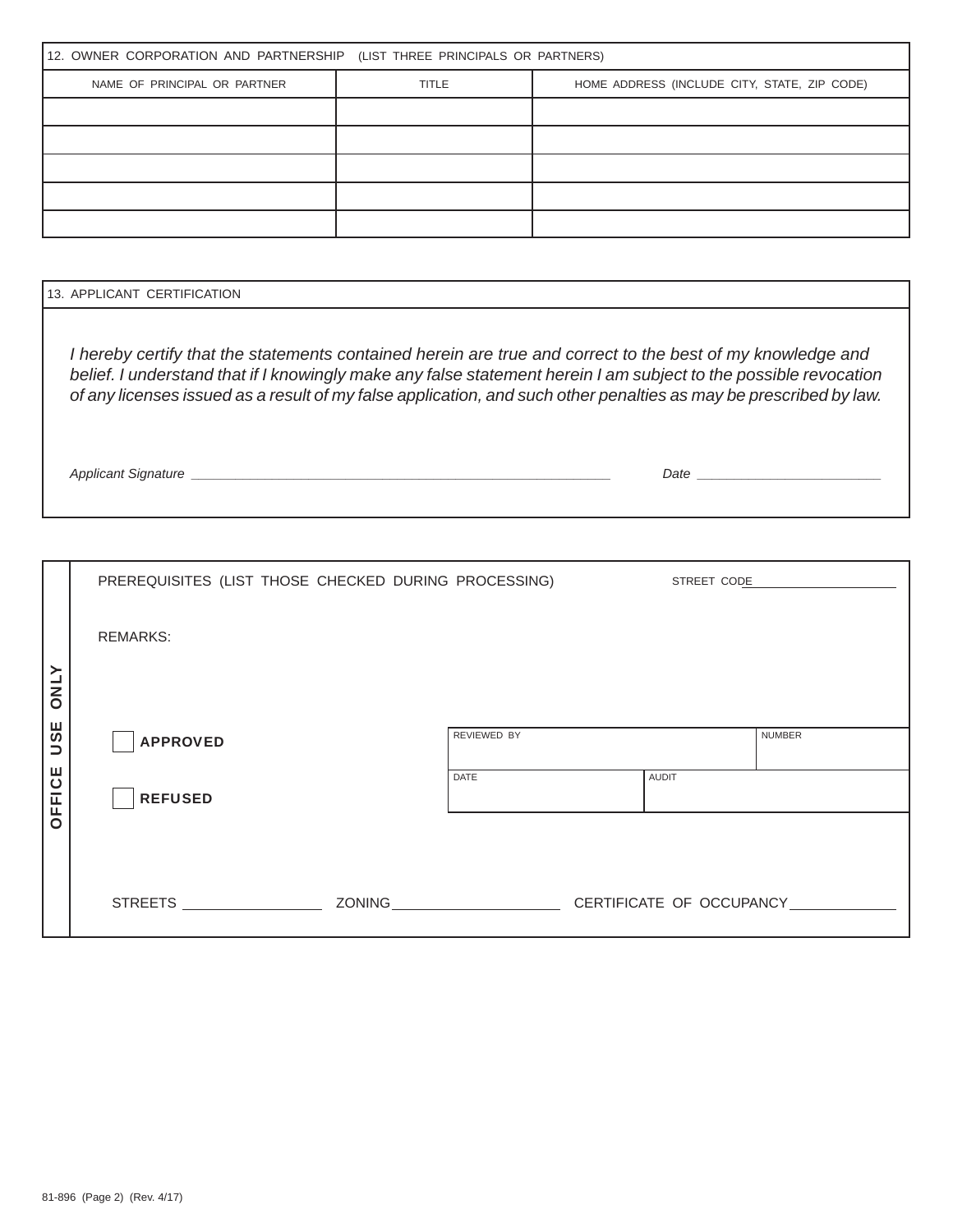| 12. OWNER CORPORATION AND PARTNERSHIP (LIST THREE PRINCIPALS OR PARTNERS) |              |                                              |  |  |  |  |  |  |
|---------------------------------------------------------------------------|--------------|----------------------------------------------|--|--|--|--|--|--|
| NAME OF PRINCIPAL OR PARTNER                                              | <b>TITLE</b> | HOME ADDRESS (INCLUDE CITY, STATE, ZIP CODE) |  |  |  |  |  |  |
|                                                                           |              |                                              |  |  |  |  |  |  |
|                                                                           |              |                                              |  |  |  |  |  |  |
|                                                                           |              |                                              |  |  |  |  |  |  |
|                                                                           |              |                                              |  |  |  |  |  |  |
|                                                                           |              |                                              |  |  |  |  |  |  |

| 13. APPLICANT CERTIFICATION                                                                                                                                                                                                                                                                                                                         |      |  |  |  |  |
|-----------------------------------------------------------------------------------------------------------------------------------------------------------------------------------------------------------------------------------------------------------------------------------------------------------------------------------------------------|------|--|--|--|--|
| I hereby certify that the statements contained herein are true and correct to the best of my knowledge and<br>belief. I understand that if I knowingly make any false statement herein I am subject to the possible revocation<br>of any licenses issued as a result of my false application, and such other penalties as may be prescribed by law. |      |  |  |  |  |
| Applicant Signature                                                                                                                                                                                                                                                                                                                                 | Date |  |  |  |  |

|             | PREREQUISITES (LIST THOSE CHECKED DURING PROCESSING) |             | STREET CODE |                                 |
|-------------|------------------------------------------------------|-------------|-------------|---------------------------------|
|             | <b>REMARKS:</b>                                      |             |             |                                 |
| <b>ATNO</b> |                                                      |             |             |                                 |
| <b>USE</b>  | <b>APPROVED</b>                                      | REVIEWED BY |             | <b>NUMBER</b>                   |
| OFFICE      | <b>REFUSED</b>                                       | <b>DATE</b> | AUDIT       |                                 |
|             |                                                      |             |             |                                 |
|             | STREETS ______________________                       |             |             | ZONING CERTIFICATE OF OCCUPANCY |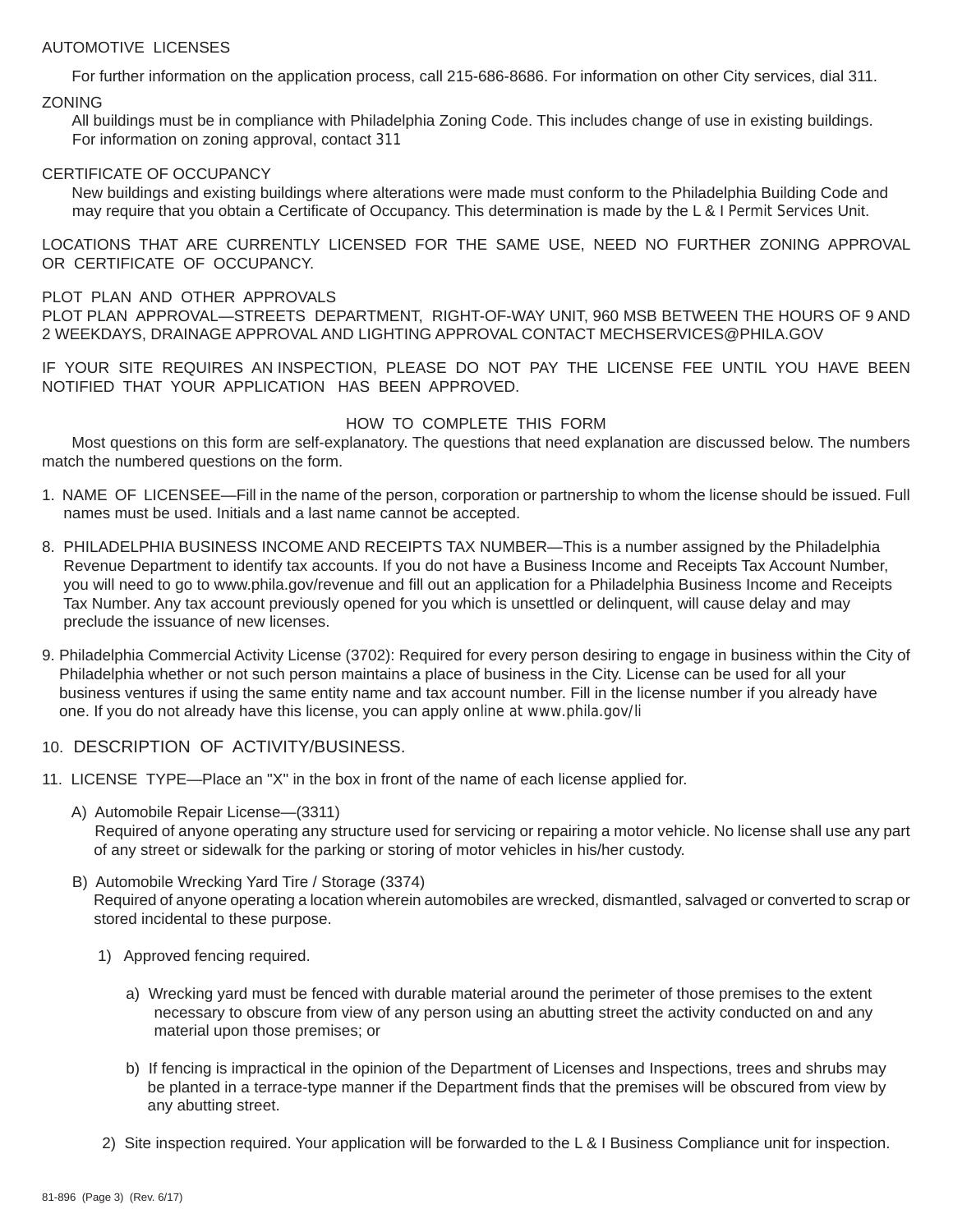## AUTOMOTIVE LICENSES

For further information on the application process, call 215-686-8686. For information on other City services, dial 311. **ZONING** 

 All buildings must be in compliance with Philadelphia Zoning Code. This includes change of use in existing buildings. For information on zoning approval, contact 311

## CERTIFICATE OF OCCUPANCY

 New buildings and existing buildings where alterations were made must conform to the Philadelphia Building Code and may require that you obtain a Certificate of Occupancy. This determination is made by the  $L \& I$  Permit Services Unit.

LOCATIONS THAT ARE CURRENTLY LICENSED FOR THE SAME USE, NEED NO FURTHER ZONING APPROVAL OR CERTIFICATE OF OCCUPANCY.

## PLOT PLAN AND OTHER APPROVALS

PLOT PLAN APPROVAL—STREETS DEPARTMENT, RIGHT-OF-WAY UNIT, 960 MSB BETWEEN THE HOURS OF 9 AND 2 WEEKDAYS, DRAINAGE APPROVAL AND LIGHTING APPROVAL CONTACT MECHSERVICES@PHILA.GOV

IF YOUR SITE REQUIRES AN INSPECTION, PLEASE DO NOT PAY THE LICENSE FEE UNTIL YOU HAVE BEEN NOTIFIED THAT YOUR APPLICATION HAS BEEN APPROVED.

## HOW TO COMPLETE THIS FORM

Most questions on this form are self-explanatory. The questions that need explanation are discussed below. The numbers match the numbered questions on the form.

- 1. NAME OF LICENSEE—Fill in the name of the person, corporation or partnership to whom the license should be issued. Full names must be used. Initials and a last name cannot be accepted.
- 8. PHILADELPHIA BUSINESS INCOME AND RECEIPTS TAX NUMBER—This is a number assigned by the Philadelphia Revenue Department to identify tax accounts. If you do not have a Business Income and Receipts Tax Account Number, you will need to go to www.phila.gov/revenue and fill out an application for a Philadelphia Business Income and Receipts Tax Number. Any tax account previously opened for you which is unsettled or delinquent, will cause delay and may preclude the issuance of new licenses.
- 9. Philadelphia Commercial Activity License (3702): Required for every person desiring to engage in business within the City of Philadelphia whether or not such person maintains a place of business in the City. License can be used for all your business ventures if using the same entity name and tax account number. Fill in the license number if you already have one. If you do not already have this license, you can apply online at www.phila.gov/li
- 10. DESCRIPTION OF ACTIVITY/BUSINESS.
- 11. LICENSE TYPE—Place an "X" in the box in front of the name of each license applied for.
	- A) Automobile Repair License—(3311)

 Required of anyone operating any structure used for servicing or repairing a motor vehicle. No license shall use any part of any street or sidewalk for the parking or storing of motor vehicles in his/her custody.

- B) Automobile Wrecking Yard Tire / Storage (3374) Required of anyone operating a location wherein automobiles are wrecked, dismantled, salvaged or converted to scrap or stored incidental to these purpose.
	- 1) Approved fencing required.
		- a) Wrecking yard must be fenced with durable material around the perimeter of those premises to the extent necessary to obscure from view of any person using an abutting street the activity conducted on and any material upon those premises; or
		- b) If fencing is impractical in the opinion of the Department of Licenses and Inspections, trees and shrubs may be planted in a terrace-type manner if the Department finds that the premises will be obscured from view by any abutting street.
	- 2) Site inspection required. Your application will be forwarded to the L & I Business Compliance unit for inspection.